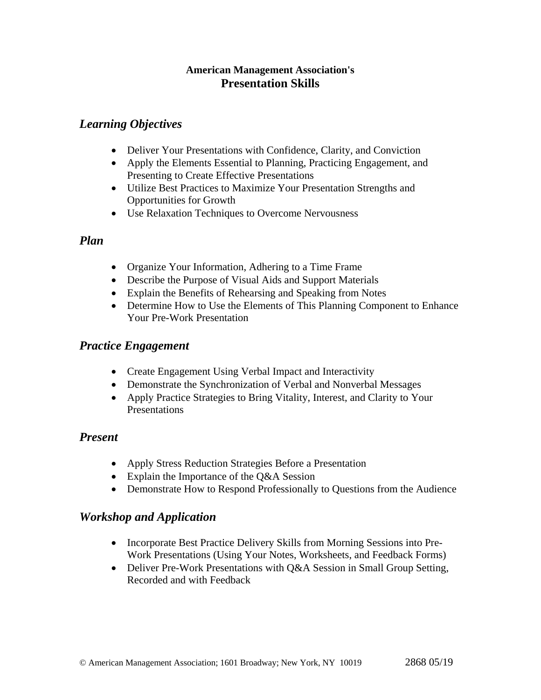#### **American Management Association's Presentation Skills**

## *Learning Objectives*

- Deliver Your Presentations with Confidence, Clarity, and Conviction
- Apply the Elements Essential to Planning, Practicing Engagement, and Presenting to Create Effective Presentations
- Utilize Best Practices to Maximize Your Presentation Strengths and Opportunities for Growth
- Use Relaxation Techniques to Overcome Nervousness

#### *Plan*

- Organize Your Information, Adhering to a Time Frame
- Describe the Purpose of Visual Aids and Support Materials
- Explain the Benefits of Rehearsing and Speaking from Notes
- Determine How to Use the Elements of This Planning Component to Enhance Your Pre-Work Presentation

## *Practice Engagement*

- Create Engagement Using Verbal Impact and Interactivity
- Demonstrate the Synchronization of Verbal and Nonverbal Messages
- Apply Practice Strategies to Bring Vitality, Interest, and Clarity to Your **Presentations**

## *Present*

- Apply Stress Reduction Strategies Before a Presentation
- Explain the Importance of the Q&A Session
- Demonstrate How to Respond Professionally to Questions from the Audience

## *Workshop and Application*

- Incorporate Best Practice Delivery Skills from Morning Sessions into Pre-Work Presentations (Using Your Notes, Worksheets, and Feedback Forms)
- Deliver Pre-Work Presentations with Q&A Session in Small Group Setting, Recorded and with Feedback